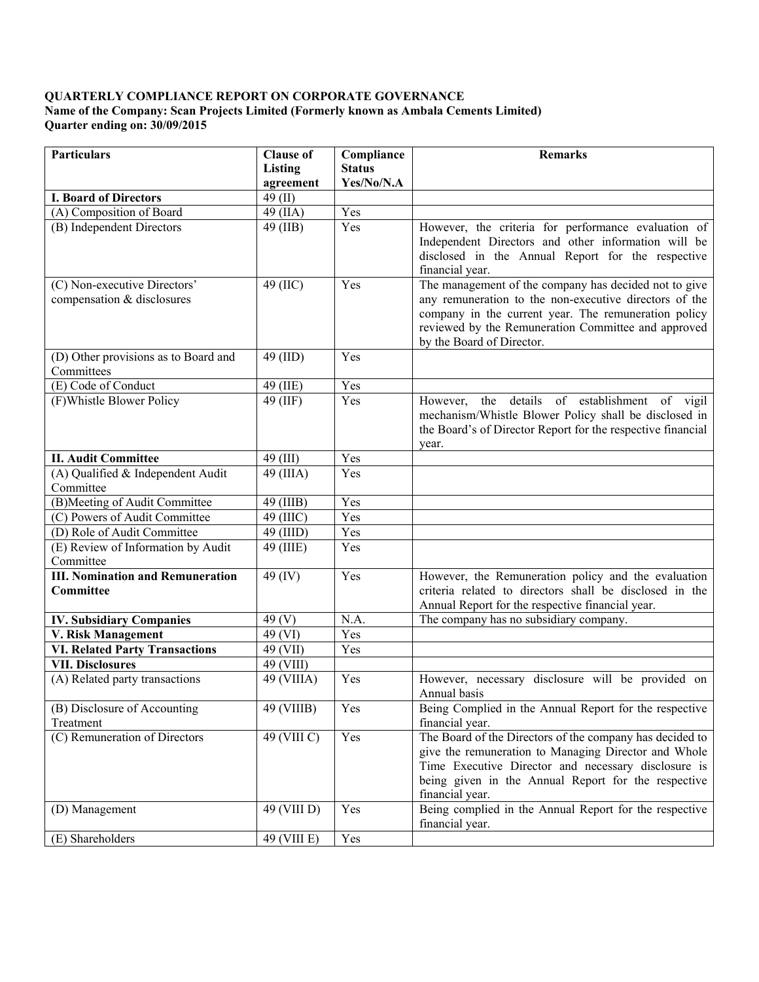## **QUARTERLY COMPLIANCE REPORT ON CORPORATE GOVERNANCE Name of the Company: Scan Projects Limited (Formerly known as Ambala Cements Limited) Quarter ending on: 30/09/2015**

| <b>Particulars</b>                                         | <b>Clause of</b>         | Compliance                  | <b>Remarks</b>                                                                                                                                                                                                                                              |
|------------------------------------------------------------|--------------------------|-----------------------------|-------------------------------------------------------------------------------------------------------------------------------------------------------------------------------------------------------------------------------------------------------------|
|                                                            | Listing<br>agreement     | <b>Status</b><br>Yes/No/N.A |                                                                                                                                                                                                                                                             |
| <b>I. Board of Directors</b>                               | $49$ (II)                |                             |                                                                                                                                                                                                                                                             |
| (A) Composition of Board                                   | 49 (IIA)                 | Yes                         |                                                                                                                                                                                                                                                             |
| (B) Independent Directors                                  | 49 (IIB)                 | Yes                         | However, the criteria for performance evaluation of<br>Independent Directors and other information will be<br>disclosed in the Annual Report for the respective<br>financial year.                                                                          |
| (C) Non-executive Directors'<br>compensation & disclosures | 49 (IIC)                 | Yes                         | The management of the company has decided not to give<br>any remuneration to the non-executive directors of the<br>company in the current year. The remuneration policy<br>reviewed by the Remuneration Committee and approved<br>by the Board of Director. |
| (D) Other provisions as to Board and<br>Committees         | 49 (IID)                 | Yes                         |                                                                                                                                                                                                                                                             |
| (E) Code of Conduct                                        | 49 (IIE)                 | Yes                         |                                                                                                                                                                                                                                                             |
| (F) Whistle Blower Policy                                  | 49 (IIF)                 | Yes                         | However, the details of establishment of vigil<br>mechanism/Whistle Blower Policy shall be disclosed in<br>the Board's of Director Report for the respective financial<br>year.                                                                             |
| <b>II. Audit Committee</b>                                 | 49 (III)                 | Yes                         |                                                                                                                                                                                                                                                             |
| (A) Qualified & Independent Audit<br>Committee             | 49 (IIIA)                | Yes                         |                                                                                                                                                                                                                                                             |
| (B)Meeting of Audit Committee                              | 49 (IIIB)                | Yes                         |                                                                                                                                                                                                                                                             |
| (C) Powers of Audit Committee                              | 49 (IIIC)                | Yes                         |                                                                                                                                                                                                                                                             |
| (D) Role of Audit Committee                                | 49 (IIID)                | Yes                         |                                                                                                                                                                                                                                                             |
| (E) Review of Information by Audit<br>Committee            | 49 (IIIE)                | Yes                         |                                                                                                                                                                                                                                                             |
| <b>III. Nomination and Remuneration</b><br>Committee       | 49 (IV)                  | $\overline{Y}$ es           | However, the Remuneration policy and the evaluation<br>criteria related to directors shall be disclosed in the<br>Annual Report for the respective financial year.                                                                                          |
| <b>IV. Subsidiary Companies</b>                            | 49 $(V)$                 | N.A.                        | The company has no subsidiary company.                                                                                                                                                                                                                      |
| V. Risk Management                                         | 49 (VI)                  | Yes                         |                                                                                                                                                                                                                                                             |
| <b>VI. Related Party Transactions</b>                      | 49 (VII)                 | Yes                         |                                                                                                                                                                                                                                                             |
| <b>VII. Disclosures</b>                                    | 49 (VIII)                |                             |                                                                                                                                                                                                                                                             |
| (A) Related party transactions                             | 49 (VIIIA)               | Yes                         | However, necessary disclosure will be provided on<br>Annual basis                                                                                                                                                                                           |
| (B) Disclosure of Accounting                               | 49 (VIIIB)               | Yes                         | Being Complied in the Annual Report for the respective                                                                                                                                                                                                      |
| Treatment                                                  |                          |                             | financial year.                                                                                                                                                                                                                                             |
| (C) Remuneration of Directors                              | 49 (VIII C)              | Yes                         | The Board of the Directors of the company has decided to<br>give the remuneration to Managing Director and Whole<br>Time Executive Director and necessary disclosure is<br>being given in the Annual Report for the respective<br>financial year.           |
| (D) Management                                             | 49 (VIII D)              | Yes                         | Being complied in the Annual Report for the respective<br>financial year.                                                                                                                                                                                   |
| (E) Shareholders                                           | $\overline{49}$ (VIII E) | Yes                         |                                                                                                                                                                                                                                                             |